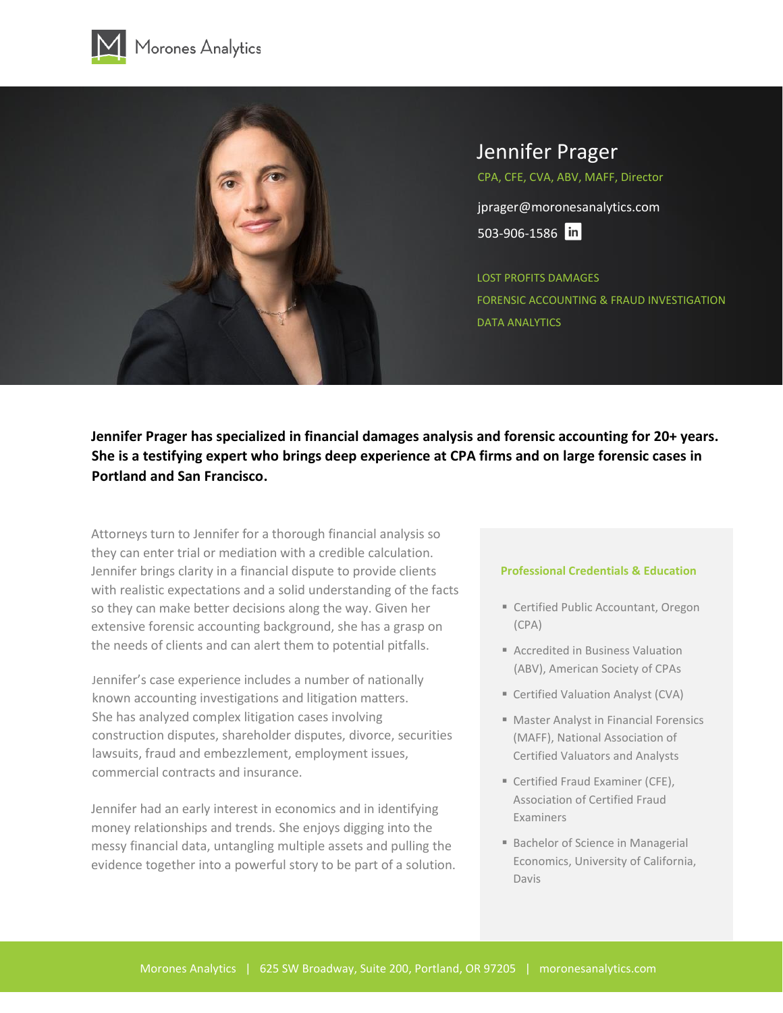



# Jennifer Prager

CPA, CFE, CVA, ABV, MAFF, Director

jprager@moronesanalytics.com 503-906-1586 in

[LOST PROFITS DAMAGES](https://moronesanalytics.com/lost-profits-damages/) [FORENSIC ACCOUNTING & FRAUD INVESTIGATION](https://moronesanalytics.com/forensic-accounting-fraud-investigation/) [DATA ANALYTICS](https://moronesanalytics.com/data-analytics/)

**Jennifer Prager has specialized in financial damages analysis and forensic accounting for 20+ years. She is a testifying expert who brings deep experience at CPA firms and on large forensic cases in Portland and San Francisco.**

Attorneys turn to Jennifer for a thorough financial analysis so they can enter trial or mediation with a credible calculation. Jennifer brings clarity in a financial dispute to provide clients with realistic expectations and a solid understanding of the facts so they can make better decisions along the way. Given her extensive forensic accounting background, she has a grasp on the needs of clients and can alert them to potential pitfalls.

Jennifer's case experience includes a number of nationally known accounting investigations and litigation matters. She has analyzed complex litigation cases involving construction disputes, shareholder disputes, divorce, securities lawsuits, fraud and embezzlement, employment issues, commercial contracts and insurance.

Jennifer had an early interest in economics and in identifying money relationships and trends. She enjoys digging into the messy financial data, untangling multiple assets and pulling the evidence together into a powerful story to be part of a solution.

### **Professional Credentials & Education**

- Certified Public Accountant, Oregon (CPA)
- Accredited in Business Valuation (ABV), American Society of CPAs
- Certified Valuation Analyst (CVA)
- Master Analyst in Financial Forensics (MAFF), National Association of Certified Valuators and Analysts
- Certified Fraud Examiner (CFE), Association of Certified Fraud Examiners
- Bachelor of Science in Managerial Economics, University of California, Davis